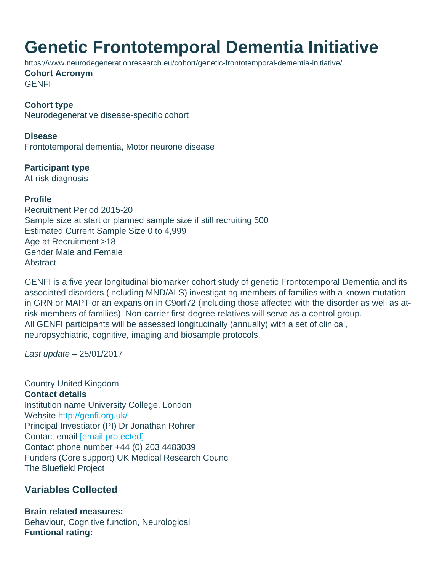## Genetic Frontotemporal Dementia Initiative

https://www.neurodegenerationresearch.eu/cohort/genetic-frontotemporal-dementia-initiative/ Cohort Acronym **GENFI** 

Cohort type Neurodegenerative disease-specific cohort

Disease Frontotemporal dementia, Motor neurone disease

Participant type At-risk diagnosis

Profile Recruitment Period 2015-20 Sample size at start or planned sample size if still recruiting 500 Estimated Current Sample Size 0 to 4,999 Age at Recruitment >18 Gender Male and Female **Abstract** 

GENFI is a five year longitudinal biomarker cohort study of genetic Frontotemporal Dementia and its associated disorders (including MND/ALS) investigating members of families with a known mutation in GRN or MAPT or an expansion in C9orf72 (including those affected with the disorder as well as atrisk members of families). Non-carrier first-degree relatives will serve as a control group. All GENFI participants will be assessed longitudinally (annually) with a set of clinical, neuropsychiatric, cognitive, imaging and biosample protocols.

Last update – 25/01/2017

Country United Kingdom Contact details Institution name University College, London Website <http://genfi.org.uk/> Principal Investiator (PI) Dr Jonathan Rohrer Contact email [\[email protected\]](/cdn-cgi/l/email-protection#bed490ccd1d6ccdbccfecbddd290dfdd90cbd5) Contact phone number +44 (0) 203 4483039 Funders (Core support) UK Medical Research Council The Bluefield Project

Variables Collected

Brain related measures: Behaviour, Cognitive function, Neurological Funtional rating: